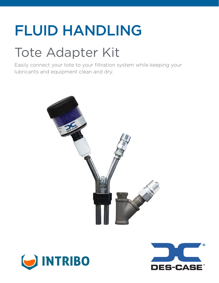# FLUID HANDLING

## Tote Adapter Kit

Easily connect your tote to your filtration system while keeping your lubricants and equipment clean and dry.





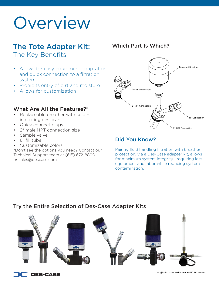# Overview

## The Tote Adapter Kit:

The Key Benefits

- Allows for easy equipment adaptation and quick connection to a filtration system
- Prohibits entry of dirt and moisture
- Allows for customization

### What Are All the Features?\*

- Replaceable breather with colorindicating desiccant
- Quick connect plugs
- 2" male NPT connection size
- Sample valve
- 6" fill tube
- Customizable colors

\*Don't see the options you need? Contact our Technical Support team at (615) 672-8800 or sales@descase.com.

## Which Part Is Which?



## Did You Know?

Pairing fluid handling filtration with breather protection, via a Des-Case adapter kit, allows for maximum system integrity—requiring less equipment and labor while reducing system contamination.

## Try the Entire Selection of Des-Case Adapter Kits